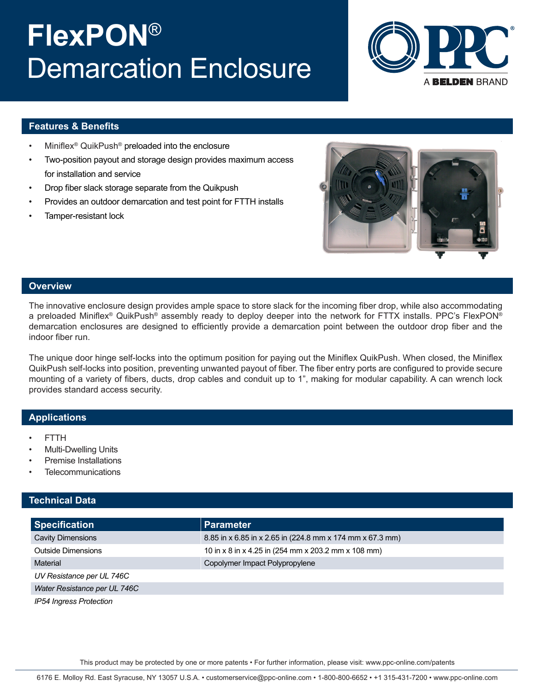# **FlexPON**® Demarcation Enclosure



#### **Features & Benefits**

- Miniflex<sup>®</sup> QuikPush<sup>®</sup> preloaded into the enclosure
- Two-position payout and storage design provides maximum access for installation and service
- Drop fiber slack storage separate from the Quikpush
- Provides an outdoor demarcation and test point for FTTH installs
- Tamper-resistant lock



### **Overview**

The innovative enclosure design provides ample space to store slack for the incoming fiber drop, while also accommodating a preloaded Miniflex® QuikPush® assembly ready to deploy deeper into the network for FTTX installs. PPC's FlexPON® demarcation enclosures are designed to efficiently provide a demarcation point between the outdoor drop fiber and the indoor fiber run.

The unique door hinge self-locks into the optimum position for paying out the Miniflex QuikPush. When closed, the Miniflex QuikPush self-locks into position, preventing unwanted payout of fiber. The fiber entry ports are configured to provide secure mounting of a variety of fibers, ducts, drop cables and conduit up to 1", making for modular capability. A can wrench lock provides standard access security.

#### **Applications**

- FTTH
- Multi-Dwelling Units
- Premise Installations
- **Telecommunications**

#### **Technical Data**

| <b>Specification</b>         | <b>Parameter</b>                                          |
|------------------------------|-----------------------------------------------------------|
| <b>Cavity Dimensions</b>     | 8.85 in x 6.85 in x 2.65 in (224.8 mm x 174 mm x 67.3 mm) |
| <b>Outside Dimensions</b>    | 10 in x 8 in x 4.25 in (254 mm x 203.2 mm x 108 mm)       |
| Material                     | Copolymer Impact Polypropylene                            |
| UV Resistance per UL 746C    |                                                           |
| Water Resistance per UL 746C |                                                           |
| IP54 Ingress Protection      |                                                           |

This product may be protected by one or more patents • For further information, please visit: www.ppc-online.com/patents